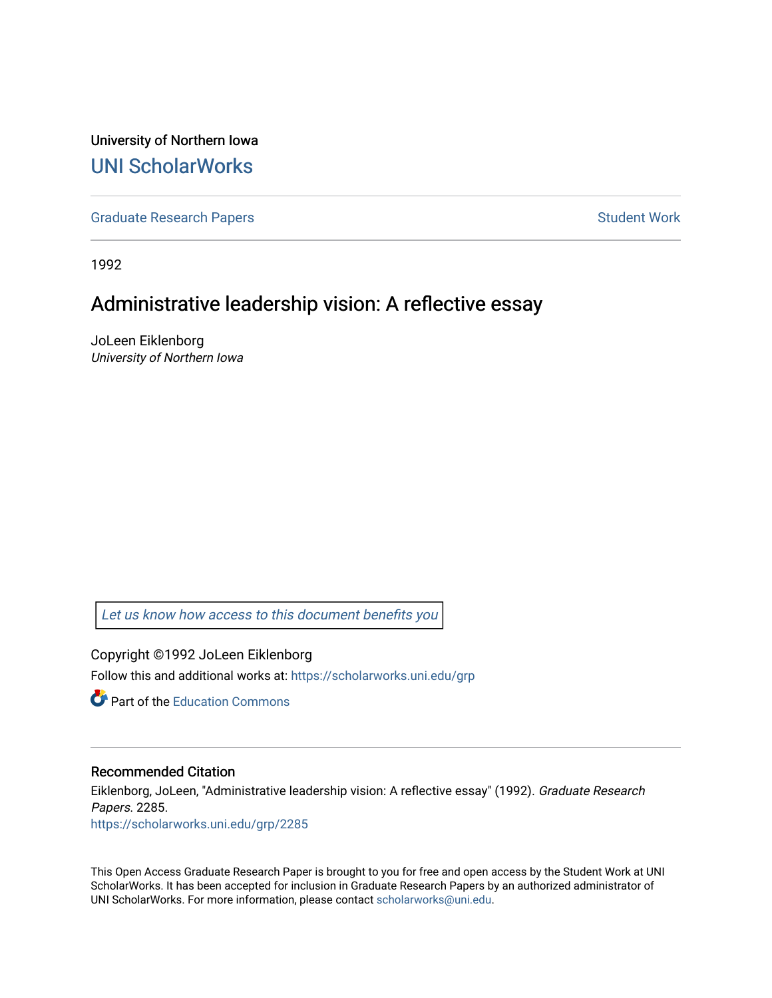University of Northern Iowa [UNI ScholarWorks](https://scholarworks.uni.edu/) 

[Graduate Research Papers](https://scholarworks.uni.edu/grp) **Student Work** Student Work

1992

# Administrative leadership vision: A reflective essay

JoLeen Eiklenborg University of Northern Iowa

[Let us know how access to this document benefits you](https://scholarworks.uni.edu/feedback_form.html) 

Copyright ©1992 JoLeen Eiklenborg Follow this and additional works at: [https://scholarworks.uni.edu/grp](https://scholarworks.uni.edu/grp?utm_source=scholarworks.uni.edu%2Fgrp%2F2285&utm_medium=PDF&utm_campaign=PDFCoverPages) 

**C** Part of the [Education Commons](http://network.bepress.com/hgg/discipline/784?utm_source=scholarworks.uni.edu%2Fgrp%2F2285&utm_medium=PDF&utm_campaign=PDFCoverPages)

#### Recommended Citation

Eiklenborg, JoLeen, "Administrative leadership vision: A reflective essay" (1992). Graduate Research Papers. 2285. [https://scholarworks.uni.edu/grp/2285](https://scholarworks.uni.edu/grp/2285?utm_source=scholarworks.uni.edu%2Fgrp%2F2285&utm_medium=PDF&utm_campaign=PDFCoverPages) 

This Open Access Graduate Research Paper is brought to you for free and open access by the Student Work at UNI ScholarWorks. It has been accepted for inclusion in Graduate Research Papers by an authorized administrator of UNI ScholarWorks. For more information, please contact [scholarworks@uni.edu.](mailto:scholarworks@uni.edu)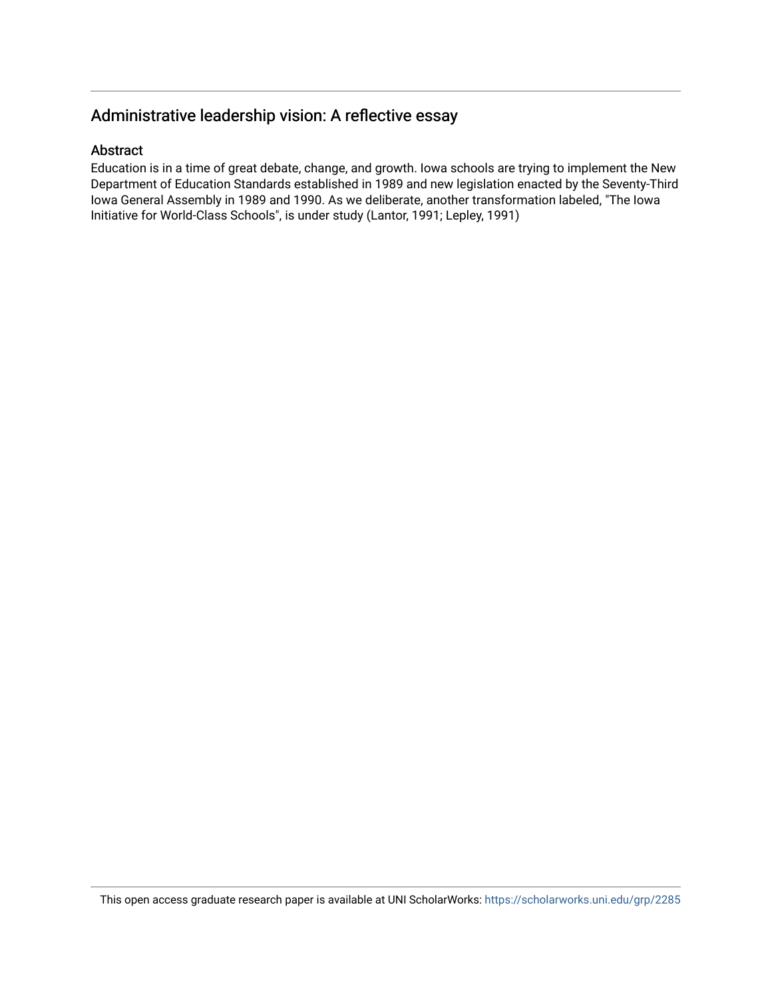# Administrative leadership vision: A reflective essay

### Abstract

Education is in a time of great debate, change, and growth. Iowa schools are trying to implement the New Department of Education Standards established in 1989 and new legislation enacted by the Seventy-Third Iowa General Assembly in 1989 and 1990. As we deliberate, another transformation labeled, "The Iowa Initiative for World-Class Schools", is under study (Lantor, 1991; Lepley, 1991)

This open access graduate research paper is available at UNI ScholarWorks: <https://scholarworks.uni.edu/grp/2285>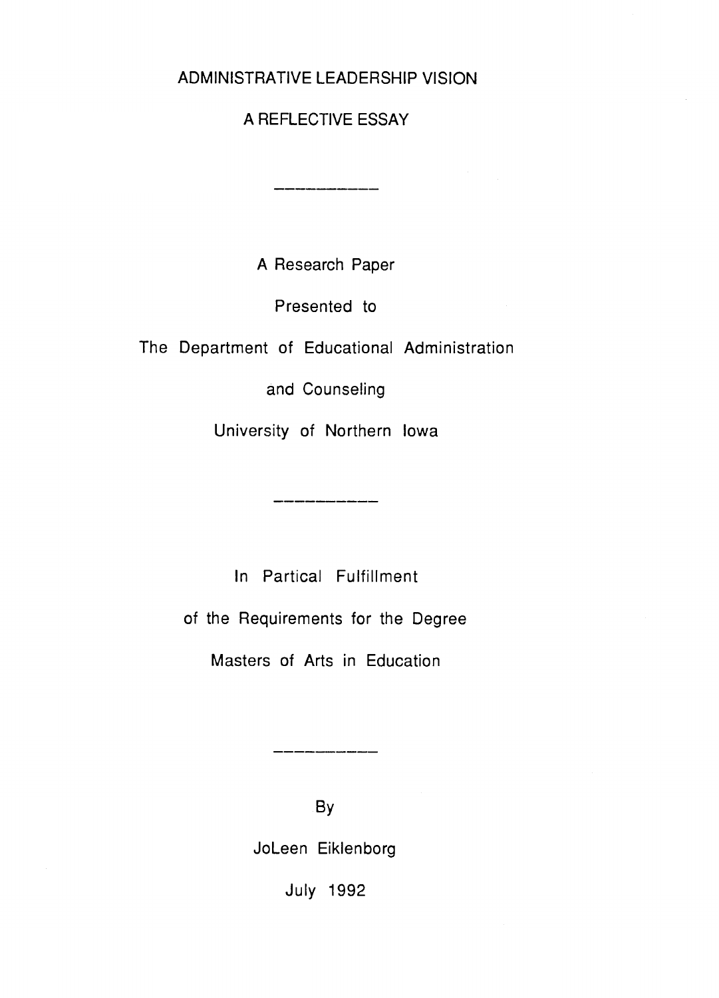# ADMINISTRATIVE LEADERSHIP VISION

# A REFLECTIVE ESSAY

A Research Paper

Presented to

The Department of Educational Administration

and Counseling

University of Northern Iowa

In Partical Fulfillment

of the Requirements for the Degree

Masters of Arts in Education

By

Joleen Eiklenborg

July 1992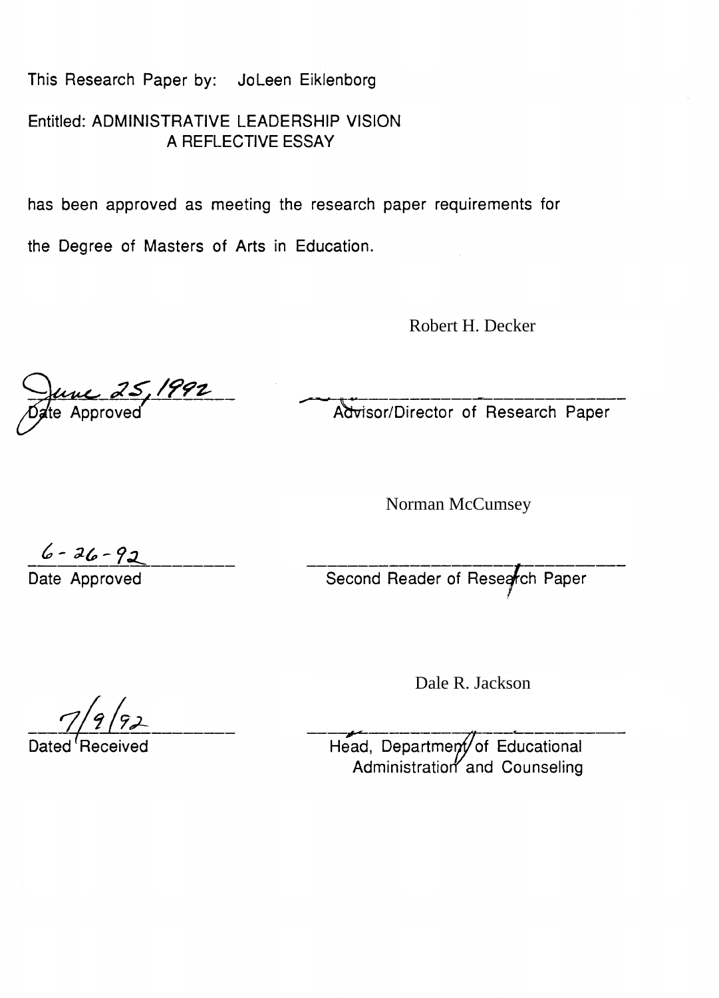This Research Paper by: Joleen Eiklenborg

Entitled: ADMINISTRATIVE LEADERSHIP VISION A REFLECTIVE ESSAY

has been approved as meeting the research paper requirements for

the Degree of Masters of Arts in Education.

Robert H. Decker

June 25, 1992

Advisor/Director of Research Paper

Norman McCumsey

 $6 - 36 - 92$  Date Approved Second Reader of Research Paper

Dale R. Jackson

Head, Department of Educational Administration and Counseling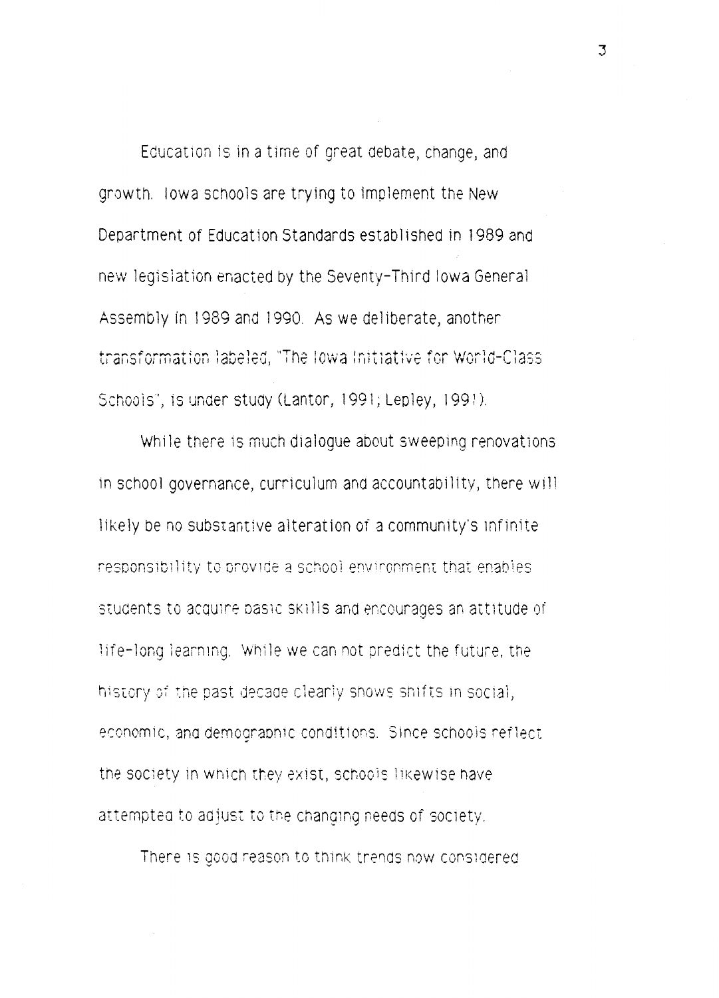Education is in a time of great debate, change, and growth. Iowa schools are trying to implement the New Department of Education Standards established in 1989 and new legislation enacted by the Seventy-Third Iowa General Assembly in 1989 and 1990. As we deliberate, another transformation labeled, "The Iowa Initiative for World-Class" Schools", is under study (Lantor, 1991; Lepley, 1991).

While there is much dialogue about sweeping renovations in school governance, curriculum and accountability, there will likely be no substantive alteration of a community's infinite responsibility to provide a school environment that enables students to acquire pasic skills and encourages an attitude of life-long learning. While we can not predict the future, the history of the past decade clearly shows shifts in social, economic, and demographic conditions. Since schools reflect the society in which they exist, schools likewise have attempted to adjust to the changing needs of society.

There is good reason to think trerids now cons1aered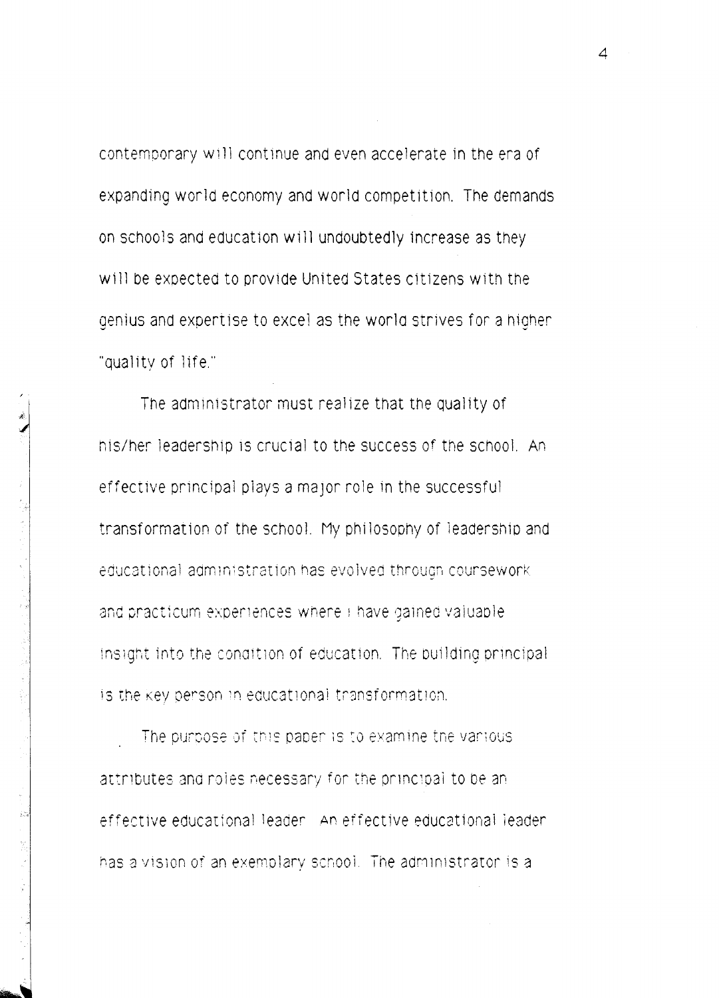contemporary will continue and even accelerate in the era of expanding world economy and world competition. The demands on schools and education will undoubtedly increase as they will be expected to provide United States citizens with the genius and expertise to excel as the world strives for a higher "quality of life."

The administrator must realize that the quality of his/her leadership is crucial to the success of the school. An effective principal plays a major role in the successful transformation of the school. My philosophy of leadership and educational administration has evolved through coursework and practicum experiences where I have gained valuable. insight into the condition of education. The building principal is the key person in educational transformation.

The purpose of this paper is to examine the various attributes and roles necessary for the principal to be an effective educational leader. An effective educational leader has a vision of an exemplary school. The administrator is a

 $\Delta$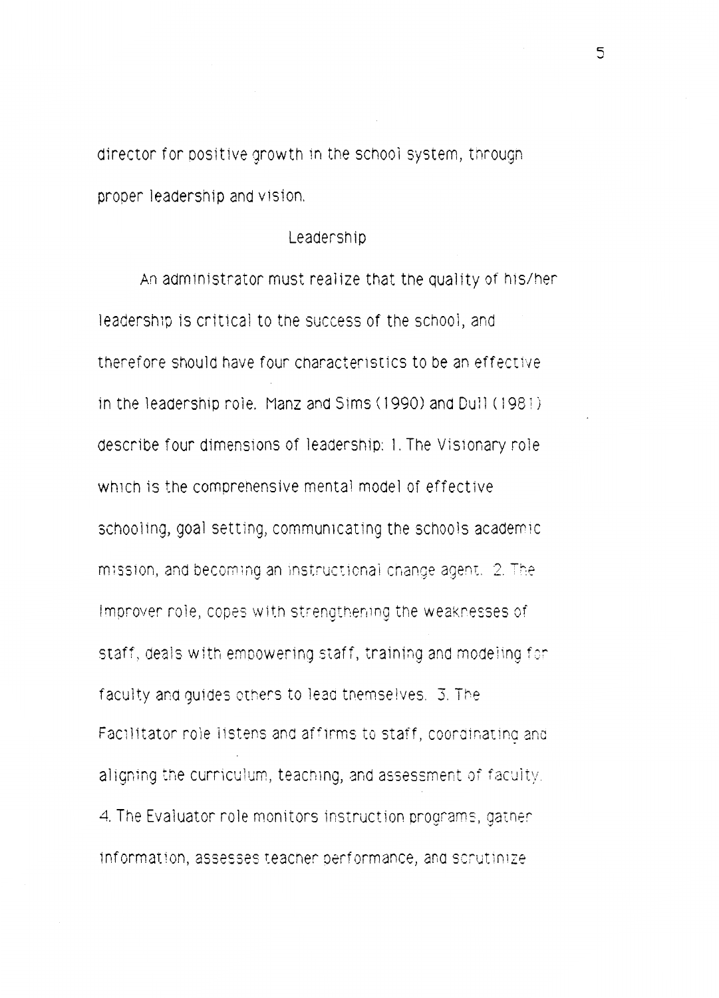director for positive growth in the school system, through proper leadership and vision.

### Leadership

An administrator must realize that the quality of his/her leadership is critical to the success of the school, and therefore should have four characteristics to be an effective in the leadership role. Manz and Sims (1990) and Dull (1981) describe four dimensions of leadership: 1. The Visionary role which is the comprehensive mental model of effective schooling, goal setting, communicating the schools academic mission, and becoming an instructional change agent. 2. The Improver role, copes with strengthening the weaknesses of staff, deals with empowering staff, training and modeling for faculty and quides others to lead themselves. 3. The Facilitator role listens and affirms to staff, coordinating and aligning the curriculum, teaching, and assessment of faculty. 4. The Evaluator role monitors instruction programs, gather information, assesses teacher performance, and scrutinize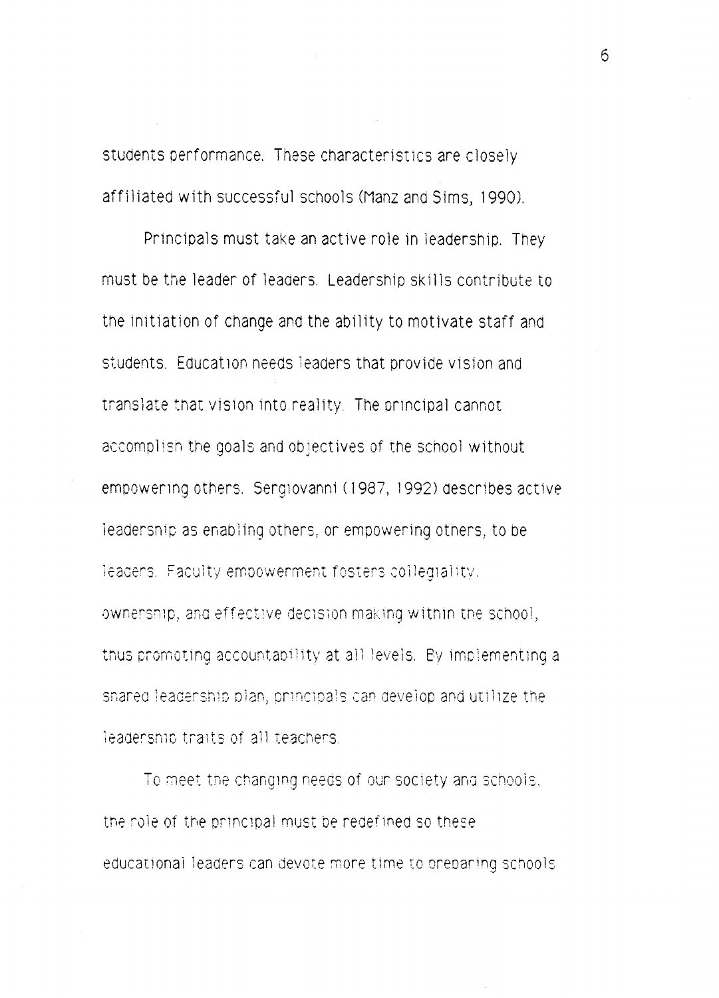students performance. These characteristics are closely affiliated with successful schools (Manz and Sims, 1990).

Principals must take an active role in leadership. They must be the leader of leaders. Leadership skills contribute to the initiation of change and the ability to motivate staff and students. Education needs leaders that provide vision and translate that vision into reality. The principal cannot accomplish the goals and objectives of the school without empowering others. Sergiovanni (1987, 1992) describes active ieadership as enabling others, or empowering others, to be leaders. Faculty empowerment fosters collegiality. ownership, and effective decision making within the school, thus promoting accountability at all levels. By implementing a shared leadership plan, principals can develop and utilize the leadership traits of all teachers.

To meet the changing needs of our society and schools, the role of the principal must be redefined so these educational leaders can devote more time to oreparing schools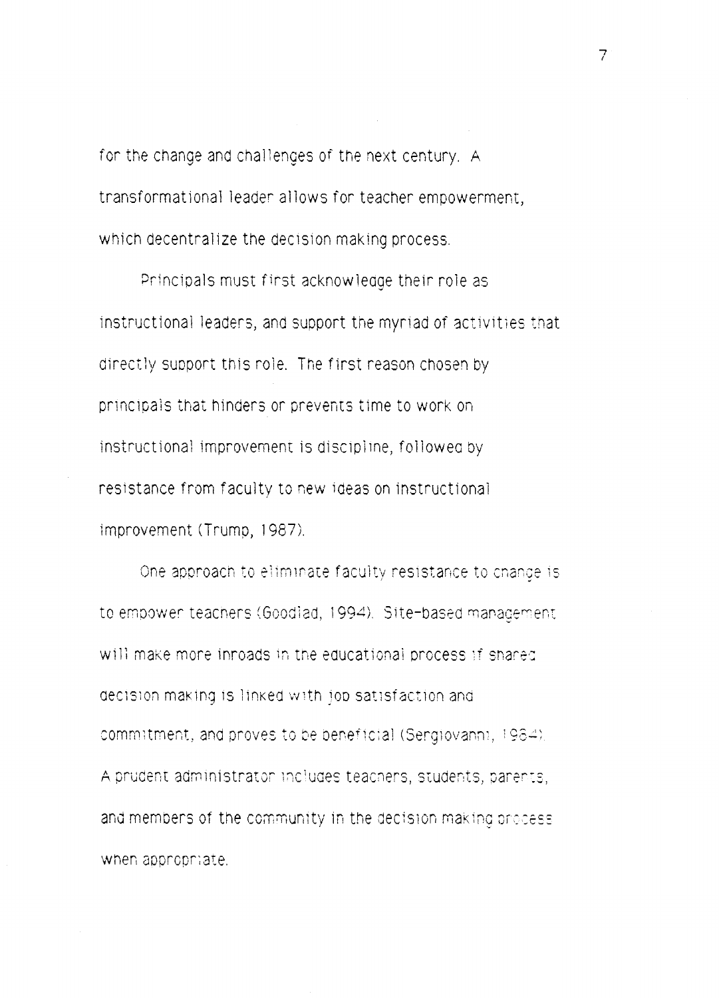for the change and challenges of the next century. A transformational leader allows for teacher empowerment, which decentralize the decision making process.

Principals must first acknowledge their role as instructional leaders, and support the myriad of activities that directly support this role. The first reason chosen by principals that hinders or prevents time to work on instructional improvement is discipline, followed by resistance from faculty to new ideas on instructional improvement (Trump, 1987).

One approach to eliminate faculty resistance to change is to empower teachers (Goodlad, 1994). Site-based management will make more inroads in the educational process if shared decision making is linked with job satisfaction and commitment, and proves to be beneficial (Sergiovanni, 1984). A prudent administrator includes teachers, students, parents, and members of the community in the decision making process when appropriate.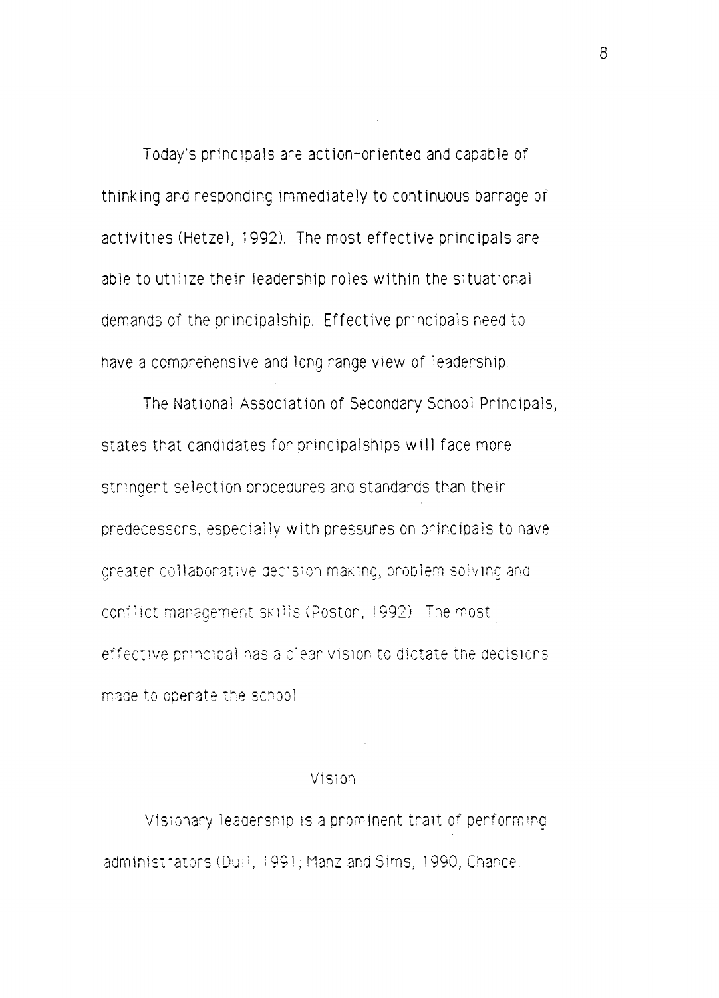Today's principals are action-oriented and capable of thinking and responding immediately to continuous barrage of activities (Hetzel, 1992). The most effective principals are able to utilize their leadership roles within the situational demands of the principalship. Effective principals need to have a comprehensive and long range view of leadership.

The National Association of Secondary School Principals, states that candidates for principalships will face more stringent selection procedures and standards than their predecessors, especially with pressures on principals to have greater collaborative decision making, problem solving and conflict management skills (Poston, 1992). The most effective principal has a clear vision to dictate the decisions made to operate the school.

#### Vision

Visionary leadership is a prominent trait of performing administrators (Dull, 1991; Manz and Sims, 1990; Chance,

 $\mathcal{B}$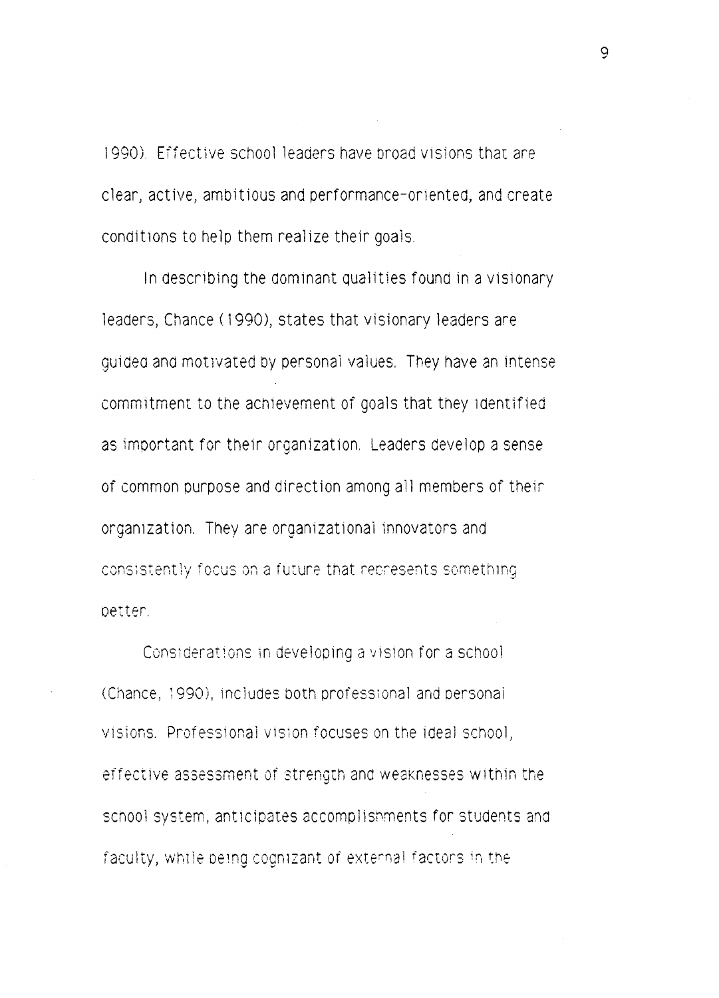1990). Effective school leaders have broad visions that are clear, active, ambitious and performance-oriented, and create conditions to help them realize their goals.

In describing the dominant qualities found in a visionary Teaders, Chance (1990), states that visionary leaders are quided and motivated by personal values. They have an intense commitment to the achievement of goals that they identified as important for their organization. Leaders develop a sense of common purpose and direction among all members of their organization. They are organizational innovators and consistently focus on a future that represents something better.

Considerations in developing a vision for a school (Chance, 1990), includes both professional and personal visions. Professional vision focuses on the ideal school. effective assessment of strength and weaknesses within the school system, anticipates accomplishments for students and faculty, while being cognizant of external factors in the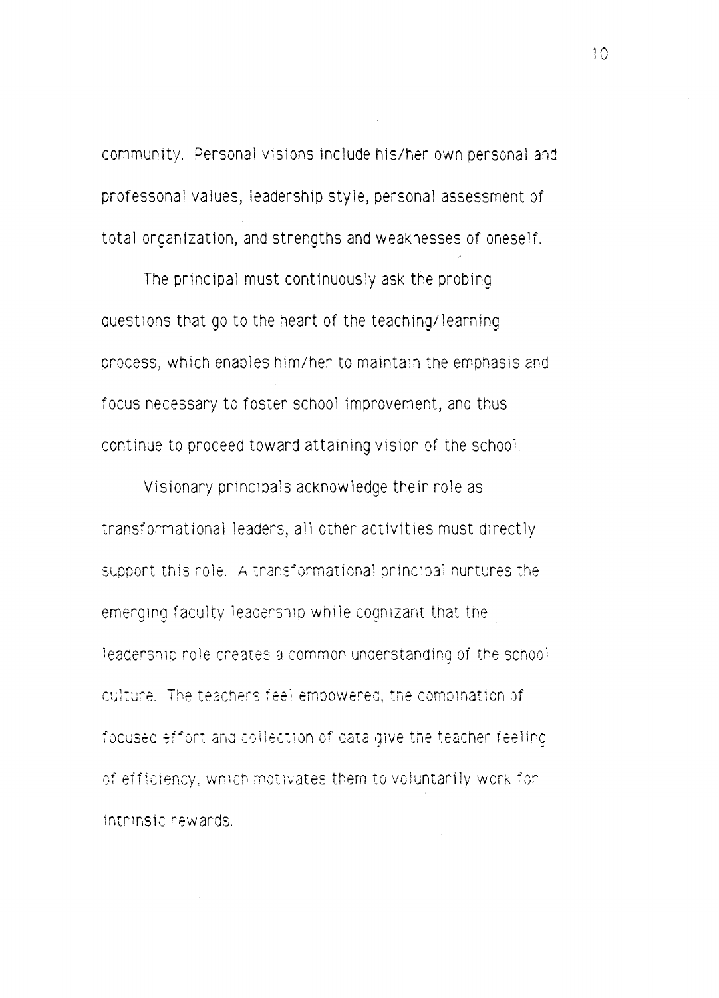community. Personal visions include his/her own personal and professonal values, leadership style, personal assessment of total organization, and strengths and weaknesses of oneself.

The principal must continuously ask the probing questions that go to the heart of the teaching/learning process, which enables him/her to maintain the emphasis and focus necessary to foster school improvement, and thus continue to proceed toward attaining vision of the school.

Visionary principals acknowledge their role as transformational leaders, all other activities must directly support this role. A transformational principal nurtures the emerging faculty leagership while cognizant that the leadership role creates a common ungerstanding of the school culture. The teachers feel empowered, the combination of focused effort and collection of data give the teacher feeling of efficiency, which motivates them to voluntarily work for intrinsic rewards.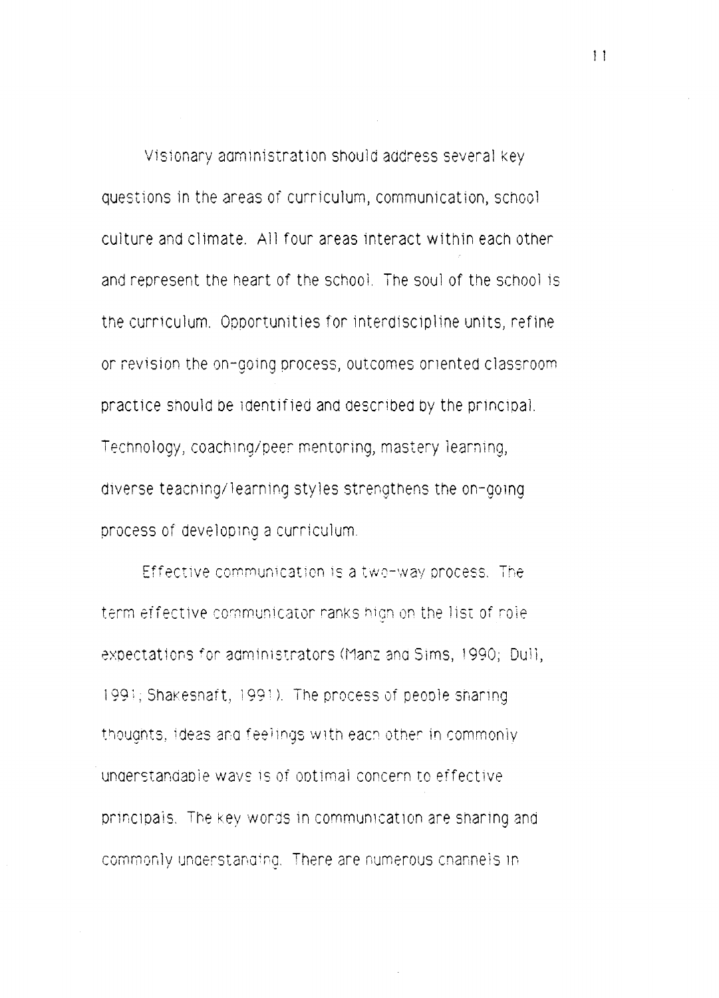Visionary administration should address several key questions in the areas of curriculum, communication, school culture and climate. All four areas interact within each other and represent the heart of the school. The soul of the school is the curriculum. Opportunities for interdiscipline units, refine or revision the on-going process, outcomes oriented classroom practice should be identified and described by the principal. Technology, coaching/peer mentoring, mastery learning, diverse teaching/learning styles strengthens the on-going process of developing a curriculum.

Effective communication is a two-way process. The term effective communicator ranks high on the list of role expectations for administrators (Manz and Sims, 1990; Dull, 1991; Shakeshaft, 1991). The process of people sharing thoughts, ideas and feelings with each other in commonly understandable ways is of optimal concern to effective principals. The key words in communication are sharing and commonly understanding. There are numerous channels in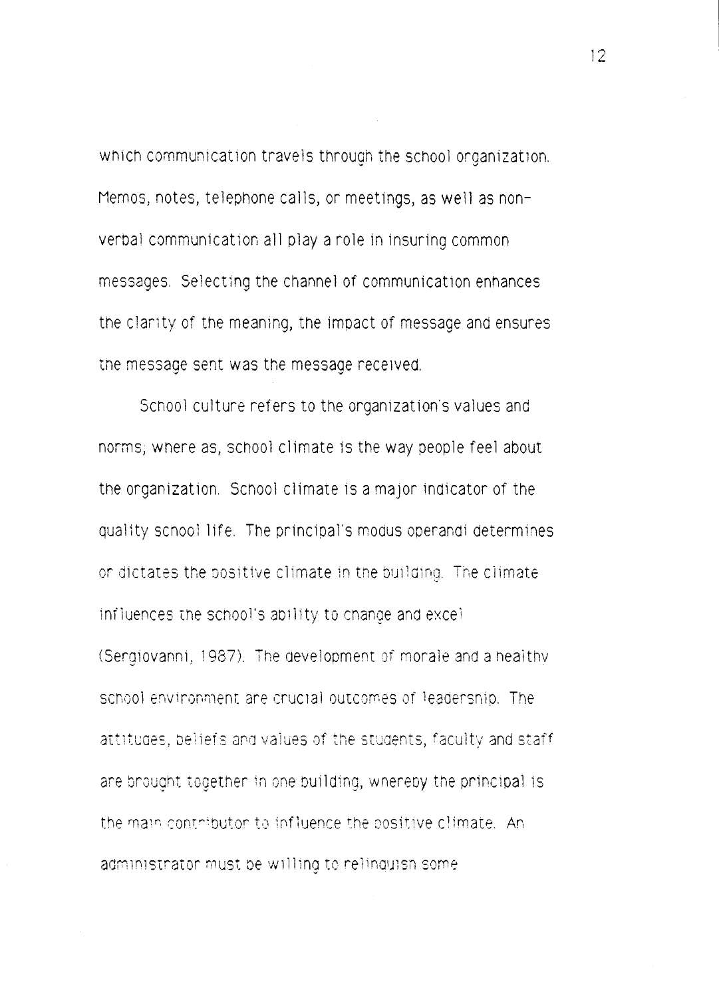which communication travels through the school organization. Memos, notes, telephone calls, or meetings, as well as nonverbal communication all play a role in insuring common messages. Selecting the channel of communication enhances the clarity of the meaning, the impact of message and ensures the message sent was the message received.

School culture refers to the organization's values and norms; where as, school climate is the way people feel about the organization. School climate is a major indicator of the quality school life. The principal's modus operandi determines or dictates the positive climate in the building. The climate influences the school's ability to change and excel-(Sergiovanni, 1987). The development of morale and a healthy school environment are crucial outcomes of leadership. The attitudes, beliefs and values of the students, faculty and staff are brought together in one building, whereby the principal is the main contributor to influence the positive climate. An administrator must be willing to relinquish some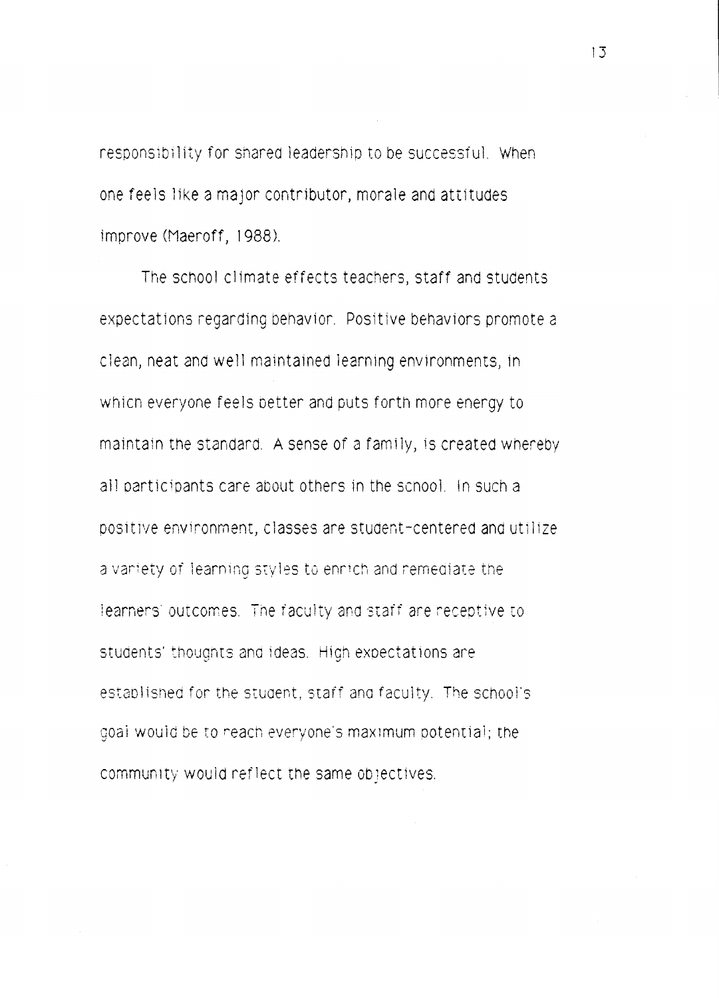responsibility for shared leadership to be successful. When one feels like a major contributor, morale and attitudes improve (Maeroff, 1988).

The school climate effects teachers, staff and students expectations regarding behavior. Positive behaviors promote a c1ean, neat and well maintained learning environments, in which everyone feels better and puts forth more energy to maintain the standard. A sense of a family, is created whereby all oarticipants care about others in the scnoo1. !n such a positive environment, classes are student-centered and utilize a variety of learning styles to enrich and remediate the learners' outcomes. The faculty and staff are receptive to students' thoughts and ideas. High expectations are established for the student, staff and faculty. The school's goai would be to reach everyone's maximum potential; the community would reflect the same objectives.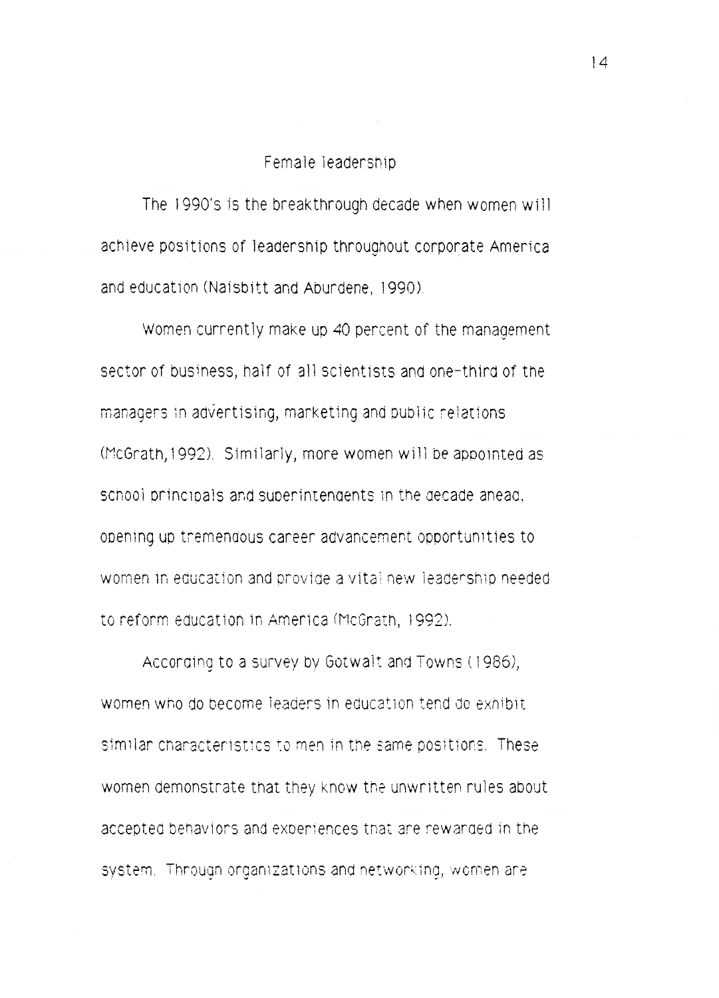### Female leadership

The 1990's is the breakthrough decade when women will achieve positions of leadership throughout corporate America and education (Naisbitt and Aburdene, 1990).

Women currently make up 40 percent of the management sector of business, half of all scientists and one-third of the managers in advertising, marketing and public relations (McGrath, 1992). Similarly, more women will be appointed as school principals and superintendents in the decade anead. opening up tremendous career advancement opportunities to women in education and provide a vital new leadership needed to reform education in America (McGrath, 1992).

According to a survey by Gotwalt and Towns (1986), women who do become leaders in education tend do exhibit. similar characteristics to men in the same positions. These women demonstrate that they know the unwritten rules about accepted behaviors and experiences that are rewarded in the system. Through organizations and networking, women are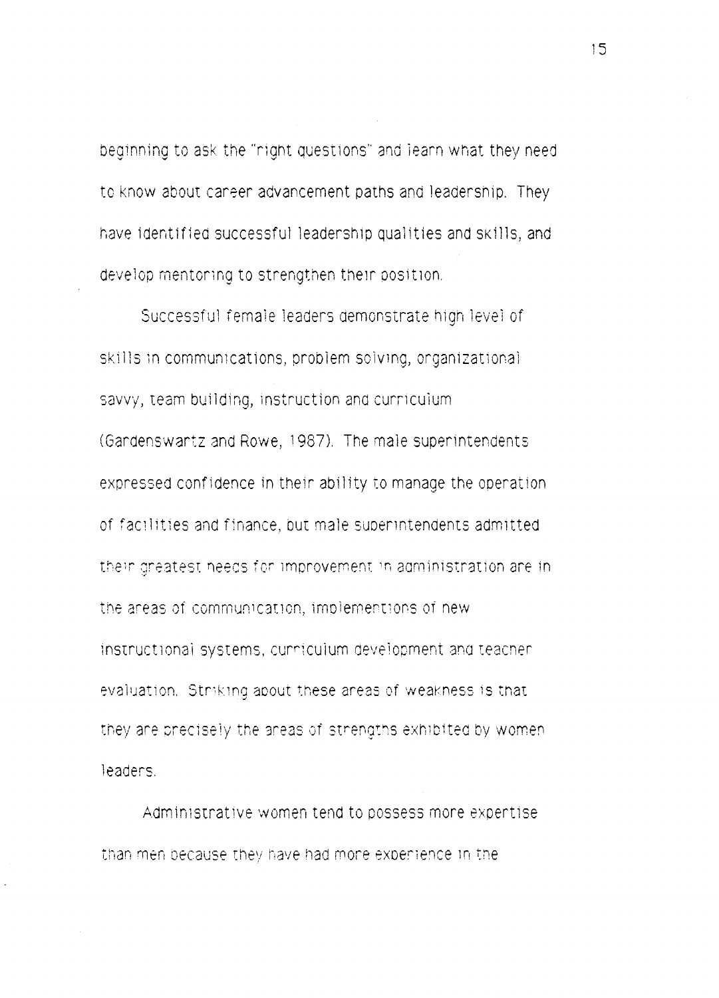beginning to ask the "right questions" and learn what they need to know about career advancement paths and leadership. They have identified successful leadership qualities and skills, and develop mentoring to strengthen their position.

Successful female leaders demonstrate high level of skills in communications, problem solving, organizational savvy, team building, instruction and curriculum (Gandenswantz and Rowe, 1987). The male superintendents expressed confidence in their ability to manage the operation of facilities and finance, but male superintendents admitted their greatest needs for improvement in administration are in the areas of communication, implementions of new instructional systems, curriculum development and teacher evaluation. Striking about these areas of weakness is that they are precisely the areas of strengths exhibited by women leaders.

Administrative women tend to possess more expertise than men because they have had more experience in the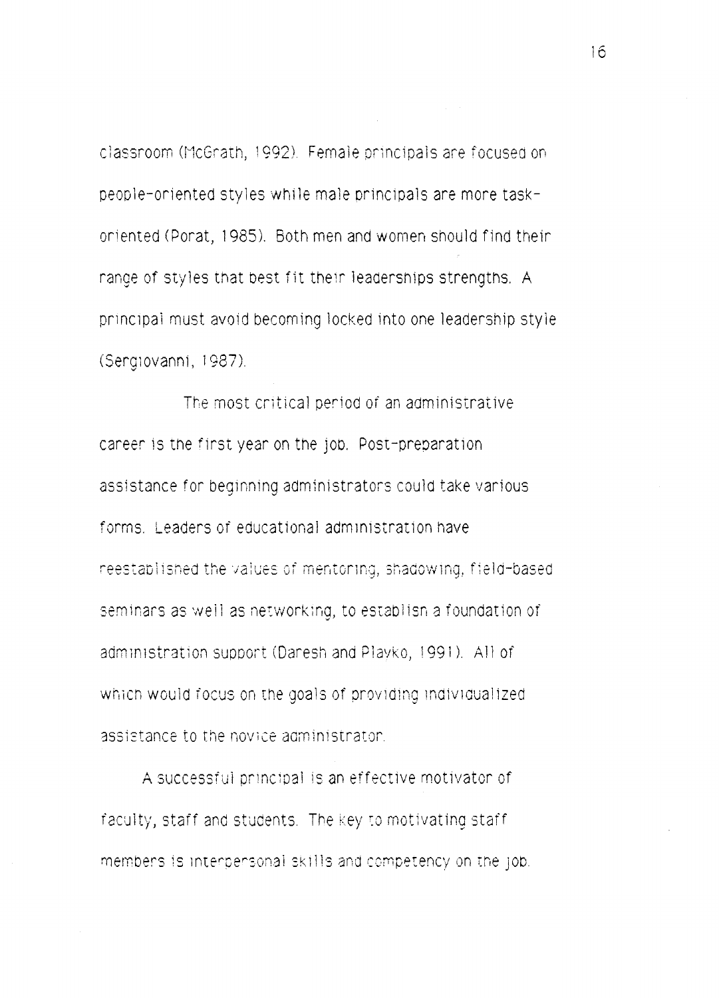classroom (McGrath, 1992). Female principals are focused on people-oriented styles while ma1e orincipa1s are more taskoriented (Porat, 1985). Both men and women should find their range of styles that best fit their leaderships strengths. A principal must avoid becoming locked into one leadership style CSergiovanni, 1987).

The most critical period of an administrative career is the first year on the job. Post-preparation assistance for beginning administrators could take various forms. Leaders or educational administration have reestablished the values of mentoring, shadowing, field-based seminars as well as networking, to establish a foundation of administration support (Daresh and Playko, 1991). All of which would focus on the goals of providing individualized assistance to the novice administrator.

A successful principal is an effective motivator of faculty, staff and students. The key to motivating staff members is interpersonal skills and competency on the JOD.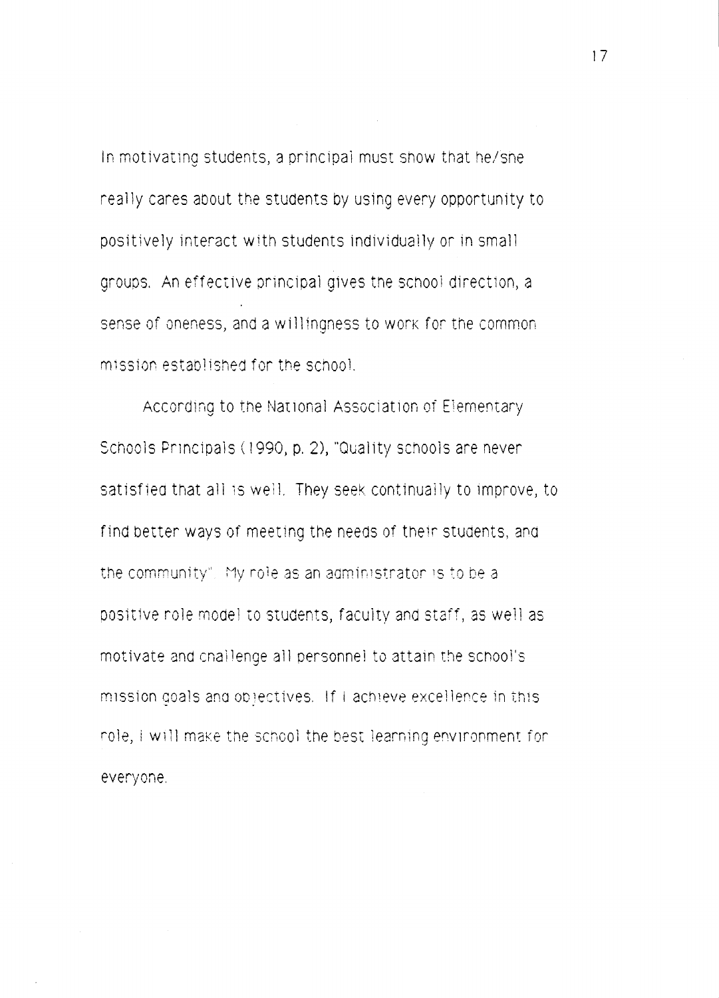In motivating students, a principal must show that he/she really cares about the students by using every opportunity to positively interact with students individually or in small groups. An effective principal gives the school direction, a sense of oneness, and a willingness to work for the common mission established for the school.

According to the National Association of Elementary Schools Principals (1990, p. 2), "Quality schools are never satisfied that all is well. They seek continually to improve, to find better ways of meeting the needs of their students, and the community". My role as an administrator is to be a positive role model to students, faculty and staff, as well as motivate and challenge all personnel to attain the school's mission goals and objectives. If I achieve excellence in this role, I will make the school the best learning environment for everyone.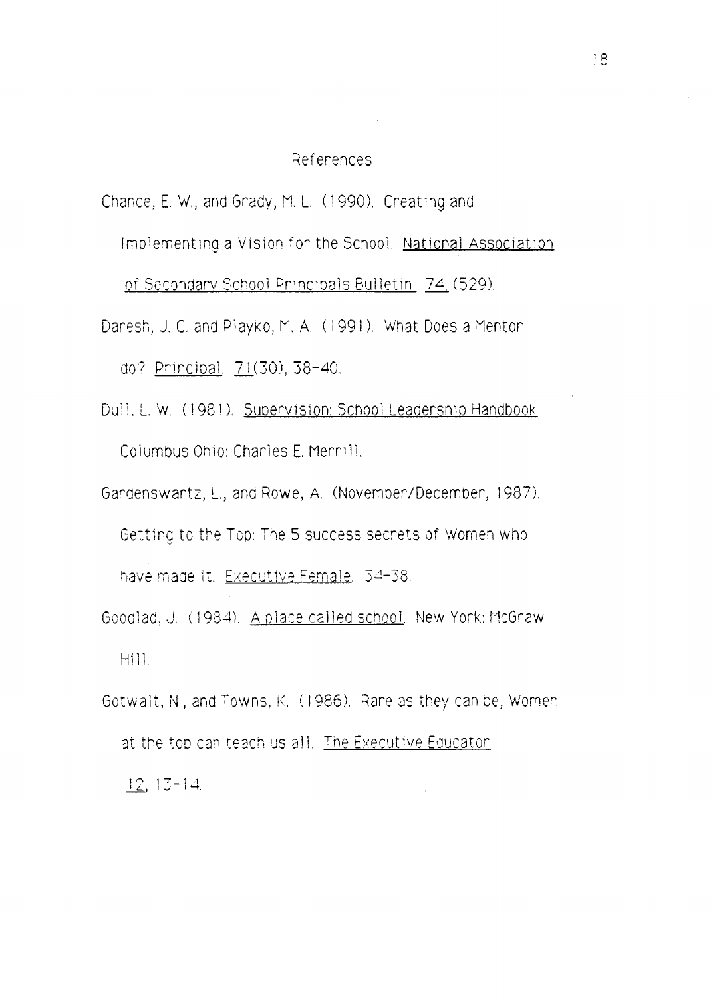### References

Chance, E. W., and Grady, M. L. (1990). Creating and Implementing a Vision for the School. National Association

of Secondary School Principals Bulletin, 74, (529).

- Daresh, J. C. and Playko, M. A. (1991). What Does a Mentor do? Principal, 71(30), 38-40.
- Dull, L. W. (1981). Supervision: School Leadership Handbook. Columbus Ohio: Charles E. Merrill.
- Gardenswartz, L., and Rowe, A. (November/December, 1987). Getting to the Top: The 5 success secrets of Women who have made it. Executive Female, 34-38.
- Goodlad, J. (1984). A place called school. New York: McGraw Hill.
- Gotwalt, N., and Towns, K. (1986). Rare as they can be, Women at the top can teach us all. The Executive Educator.  $12.13 - 14.$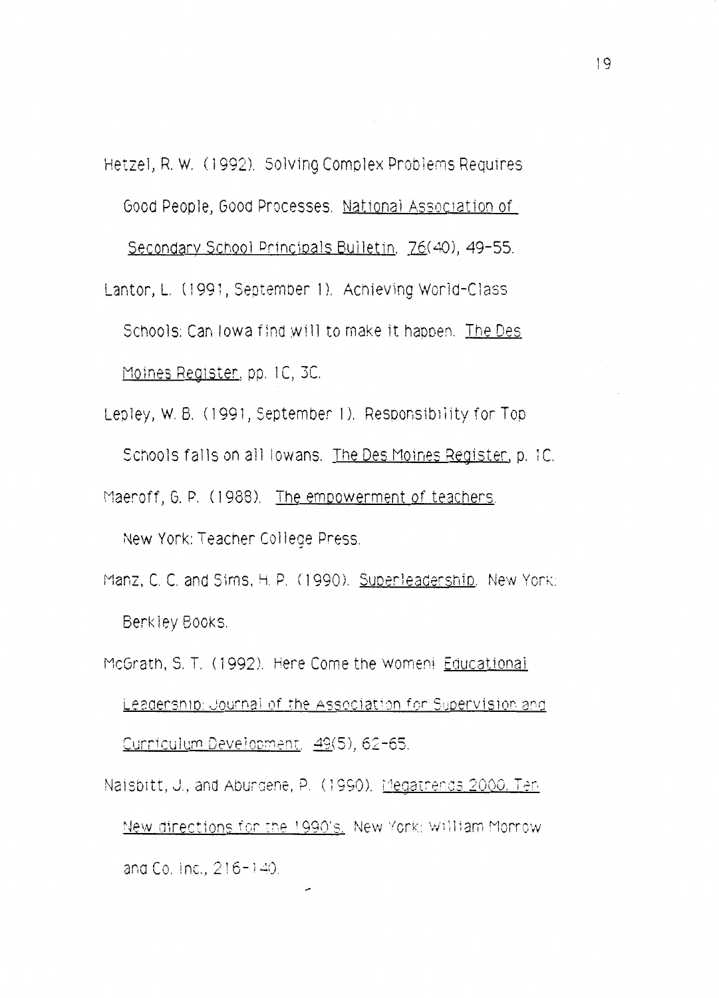Hetzel, R. W. (1992). Solving Complex Problems Requires Good People, Good Processes. National Association of Secondary School Principals Builetin. 76(40), 49-55.

- Lantor, L. (1991, September 1). Achieving World-Class Schools: Can lowa find will to make it happen. The Des Moines Register, pp. 1C, 3C.
- Lepley, W. B. (1991, September 1). Responsibility for Top Schools falls on all lowans. The Des Moines Register, p. 1C. Maeroff, G. P. (1988). The empowerment of teachers.

New York: Teacher College Press.

- Manz, C. C. and Sims, H. P. (1990). Superleadership. New York: Berkley Books.
- McGrath, S. T. (1992). Here Come the Womeni Educational Leadership: Journal of the Association for Supervision and Curriculum Development. 49(5), 62-65.

Naisbitt, J., and Aburgene, P. (1990). Megatrends 2000. Ten New directions for the 1990's. New York: William Morrow and Co. Inc., 216-140.